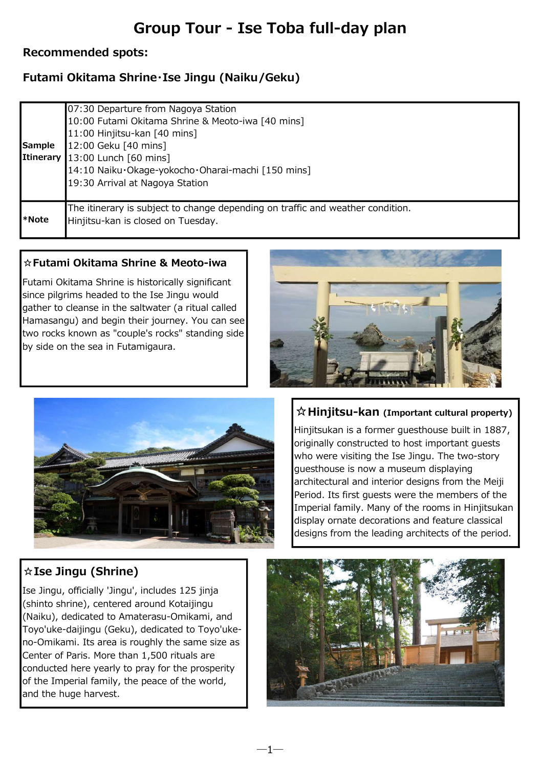# Group Tour - Ise Toba full-day plan

#### Recommended spots:

### Futami Okitama Shrine・Ise Jingu (Naiku/Geku)

| l*Note | 19:30 Arrival at Nagoya Station<br>The itinerary is subject to change depending on traffic and weather condition.<br>Hinjitsu-kan is closed on Tuesday. |
|--------|---------------------------------------------------------------------------------------------------------------------------------------------------------|
|        | Itinerary 13:00 Lunch [60 mins]<br>14:10 Naiku·Okage-yokocho·Oharai-machi [150 mins]                                                                    |
| Sample | 12:00 Geku [40 mins]                                                                                                                                    |
|        | 07:30 Departure from Nagoya Station<br>10:00 Futami Okitama Shrine & Meoto-iwa [40 mins]<br>11:00 Hinjitsu-kan [40 mins]                                |

―1―

#### ☆Futami Okitama Shrine & Meoto-iwa

Futami Okitama Shrine is historically significant since pilgrims headed to the Ise Jingu would gather to cleanse in the saltwater (a ritual called Hamasangu) and begin their journey. You can see two rocks known as "couple's rocks" standing side by side on the sea in Futamigaura.





#### ☆Hinjitsu-kan (Important cultural property)

Hinjitsukan is a former guesthouse built in 1887, originally constructed to host important guests who were visiting the Ise Jingu. The two-story guesthouse is now a museum displaying architectural and interior designs from the Meiji Period. Its first guests were the members of the Imperial family. Many of the rooms in Hinjitsukan display ornate decorations and feature classical designs from the leading architects of the period.

## ☆Ise Jingu (Shrine)

Ise Jingu, officially 'Jingu', includes 125 jinja (shinto shrine), centered around Kotaijingu (Naiku), dedicated to Amaterasu-Omikami, and Toyo'uke-daijingu (Geku), dedicated to Toyo'ukeno-Omikami. Its area is roughly the same size as Center of Paris. More than 1,500 rituals are conducted here yearly to pray for the prosperity of the Imperial family, the peace of the world, and the huge harvest.